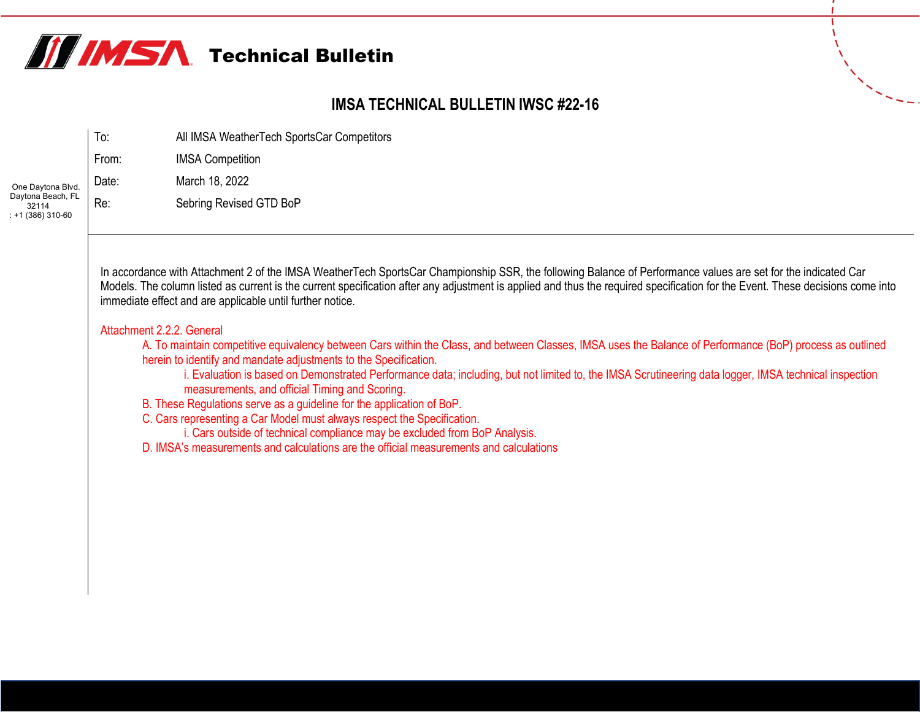

## **IMSA TECHNICAL BULLETIN IWSC #22-16**

|                                                                      | lo:   | All IMSA WeatherTech SportsCar Competitors |
|----------------------------------------------------------------------|-------|--------------------------------------------|
|                                                                      | From: | <b>IMSA Competition</b>                    |
| One Daytona Blvd.<br>Daytona Beach, FL<br>32114<br>$: +1(386)310-60$ | Date: | March 18, 2022                             |
|                                                                      | Re:   | Sebring Revised GTD BoP                    |

In accordance with Attachment 2 of the IMSA WeatherTech SportsCar Championship SSR, the following Balance of Performance values are set for the indicated Car Models. The column listed as current is the current specification after any adjustment is applied and thus the required specification for the Event. These decisions come into immediate effect and are applicable until further notice.

## Attachment 2.2.2. General

A. To maintain competitive equivalency between Cars within the Class, and between Classes, IMSA uses the Balance of Performance (BoP) process as outlined herein to identify and mandate adjustments to the Specification.

i. Evaluation is based on Demonstrated Performance data; including, but not limited to, the IMSA Scrutineering data logger, IMSA technical inspection measurements, and official Timing and Scoring.

B. These Regulations serve as a guideline for the application of BoP.

C. Cars representing a Car Model must always respect the Specification.

i. Cars outside of technical compliance may be excluded from BoP Analysis.

D. IMSA's measurements and calculations are the official measurements and calculations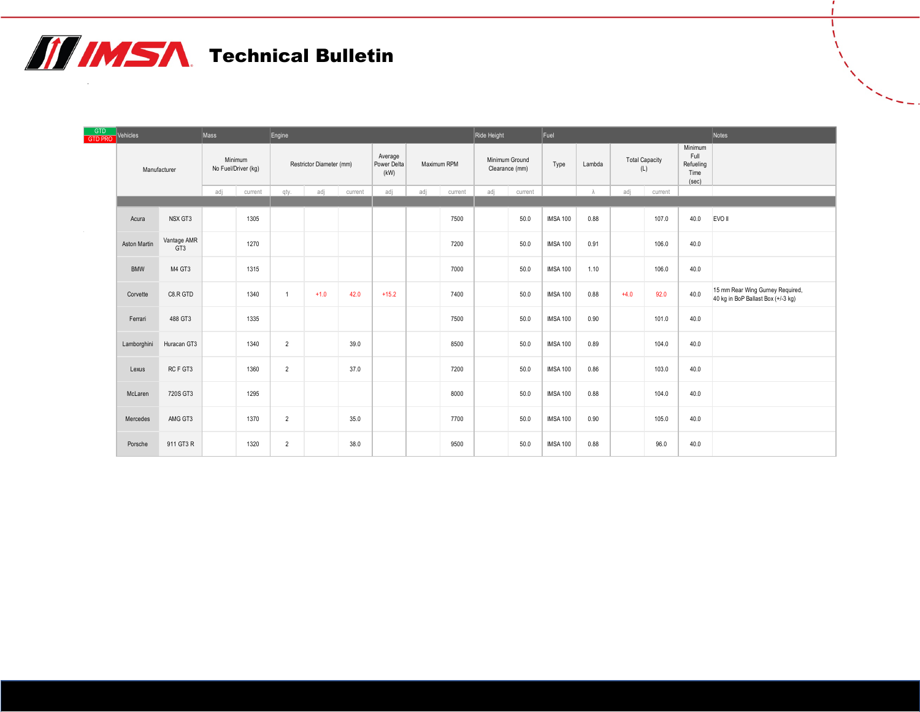## **TE IMSA** Technical Bulletin

| GTD<br>GTD PRO | Vehicles<br>Mass    |                    |                                | Engine  |                          |        |                                |             | Ride Height<br>Fuel |                                  |     |         |                 | Notes                        |        |                                               |      |                                                                        |
|----------------|---------------------|--------------------|--------------------------------|---------|--------------------------|--------|--------------------------------|-------------|---------------------|----------------------------------|-----|---------|-----------------|------------------------------|--------|-----------------------------------------------|------|------------------------------------------------------------------------|
|                | Manufacturer        |                    | Minimum<br>No Fuel/Driver (kg) |         | Restrictor Diameter (mm) |        | Average<br>Power Delta<br>(kW) | Maximum RPM |                     | Minimum Ground<br>Clearance (mm) |     | Type    | Lambda          | <b>Total Capacity</b><br>(L) |        | Minimum<br>Full<br>Refueling<br>Time<br>(sec) |      |                                                                        |
|                |                     |                    | adj                            | current | qty.                     | adj    | current                        | adj         | adj                 | current                          | adj | current |                 |                              | adj    | current                                       |      |                                                                        |
|                | Acura               | NSX GT3            |                                | 1305    |                          |        |                                |             |                     | 7500                             |     | 50.0    | <b>IMSA 100</b> | 0.88                         |        | 107.0                                         | 40.0 | EVO II                                                                 |
|                | <b>Aston Martin</b> | Vantage AMR<br>GT3 |                                | 1270    |                          |        |                                |             |                     | 7200                             |     | 50.0    | <b>IMSA 100</b> | 0.91                         |        | 106.0                                         | 40.0 |                                                                        |
|                | <b>BMW</b>          | M4 GT3             |                                | 1315    |                          |        |                                |             |                     | 7000                             |     | 50.0    | <b>IMSA 100</b> | 1.10                         |        | 106.0                                         | 40.0 |                                                                        |
|                | Corvette            | C8.R GTD           |                                | 1340    | $\overline{1}$           | $+1.0$ | 42.0                           | $+15.2$     |                     | 7400                             |     | 50.0    | <b>IMSA 100</b> | 0.88                         | $+4.0$ | 92.0                                          | 40.0 | 15 mm Rear Wing Gurney Required,<br>40 kg in BoP Ballast Box (+/-3 kg) |
|                | Ferrari             | 488 GT3            |                                | 1335    |                          |        |                                |             |                     | 7500                             |     | 50.0    | <b>IMSA 100</b> | 0.90                         |        | 101.0                                         | 40.0 |                                                                        |
|                | Lamborghini         | Huracan GT3        |                                | 1340    | $\overline{2}$           |        | 39.0                           |             |                     | 8500                             |     | 50.0    | <b>IMSA 100</b> | 0.89                         |        | 104.0                                         | 40.0 |                                                                        |
|                | Lexus               | RCF GT3            |                                | 1360    | $\overline{2}$           |        | 37.0                           |             |                     | 7200                             |     | 50.0    | <b>IMSA 100</b> | 0.86                         |        | 103.0                                         | 40.0 |                                                                        |
|                | McLaren             | 720S GT3           |                                | 1295    |                          |        |                                |             |                     | 8000                             |     | 50.0    | <b>IMSA 100</b> | 0.88                         |        | 104.0                                         | 40.0 |                                                                        |
|                | Mercedes            | AMG GT3            |                                | 1370    | $\overline{2}$           |        | 35.0                           |             |                     | 7700                             |     | 50.0    | <b>IMSA 100</b> | 0.90                         |        | 105.0                                         | 40.0 |                                                                        |
|                | Porsche             | 911 GT3 R          |                                | 1320    | $\overline{2}$           |        | 38.0                           |             |                     | 9500                             |     | 50.0    | <b>IMSA 100</b> | 0.88                         |        | 96.0                                          | 40.0 |                                                                        |